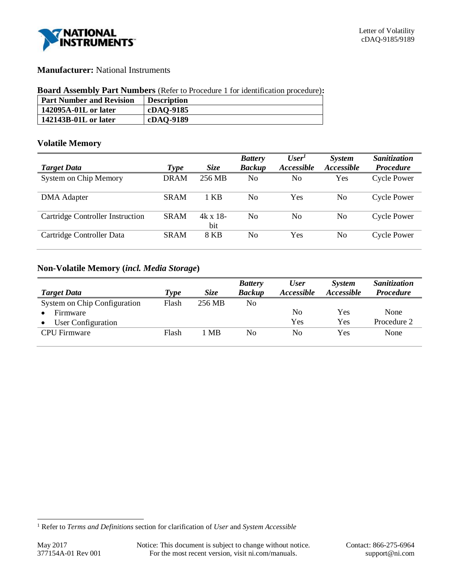

# **Manufacturer:** National Instruments

## **Board Assembly Part Numbers** (Refer to Procedure 1 for identification procedure)**:**

| <b>Part Number and Revision</b> | <b>Description</b> |
|---------------------------------|--------------------|
| 142095A-01L or later            | cDAQ-9185          |
| 142143B-01L or later            | cDAQ-9189          |

# **Volatile Memory**

|                                  |             |                       | <b>Battery</b> | User <sup>1</sup> | System            | Sanitization       |
|----------------------------------|-------------|-----------------------|----------------|-------------------|-------------------|--------------------|
| <b>Target Data</b>               | <b>Type</b> | <i>Size</i>           | <b>Backup</b>  | Accessible        | <b>Accessible</b> | <b>Procedure</b>   |
| <b>System on Chip Memory</b>     | <b>DRAM</b> | 256 MB                | No             | No                | Yes               | <b>Cycle Power</b> |
| <b>DMA</b> Adapter               | <b>SRAM</b> | 1 KB                  | N <sub>0</sub> | Yes               | No                | <b>Cycle Power</b> |
| Cartridge Controller Instruction | <b>SRAM</b> | $4k \times 18$<br>bit | No             | No                | No                | <b>Cycle Power</b> |
| Cartridge Controller Data        | <b>SRAM</b> | 8 KB                  | N <sub>0</sub> | Yes               | No                | <b>Cycle Power</b> |

# **Non-Volatile Memory (***incl. Media Storage***)**

|                              |             |             | <b>Battery</b> | <b>User</b>              | <b>System</b>     | Sanitization     |
|------------------------------|-------------|-------------|----------------|--------------------------|-------------------|------------------|
| <b>Target Data</b>           | <b>Type</b> | <b>Size</b> | <b>Backup</b>  | <i><b>Accessible</b></i> | <i>Accessible</i> | <b>Procedure</b> |
| System on Chip Configuration | Flash       | 256 MB      | No             |                          |                   |                  |
| Firmware                     |             |             |                | No                       | Yes               | None             |
| User Configuration           |             |             |                | Yes                      | Yes               | Procedure 2      |
| <b>CPU</b> Firmware          | Flash       | 1 MB        | No             | No                       | Yes               | None             |

l

<sup>1</sup> Refer to *Terms and Definitions* section for clarification of *User* and *System Accessible*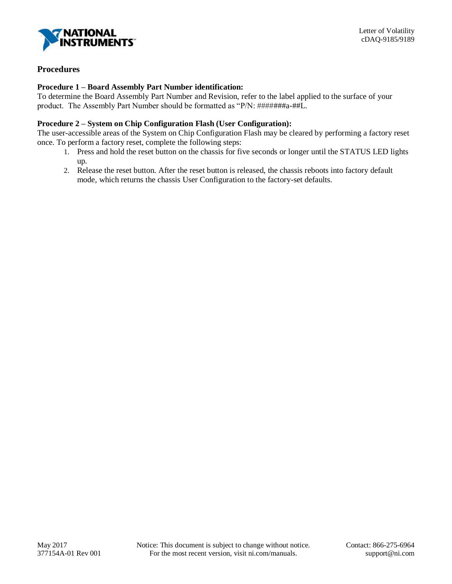

# **Procedures**

## **Procedure 1 – Board Assembly Part Number identification:**

To determine the Board Assembly Part Number and Revision, refer to the label applied to the surface of your product. The Assembly Part Number should be formatted as "P/N: #######a-##L.

# **Procedure 2 – System on Chip Configuration Flash (User Configuration):**

The user-accessible areas of the System on Chip Configuration Flash may be cleared by performing a factory reset once. To perform a factory reset, complete the following steps:

- 1. Press and hold the reset button on the chassis for five seconds or longer until the STATUS LED lights up.
- 2. Release the reset button. After the reset button is released, the chassis reboots into factory default mode, which returns the chassis User Configuration to the factory-set defaults.